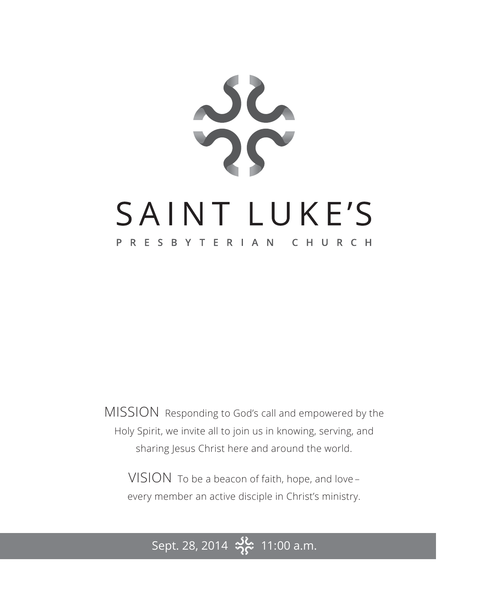

MISSION Responding to God's call and empowered by the Holy Spirit, we invite all to join us in knowing, serving, and sharing Jesus Christ here and around the world.

VISION To be a beacon of faith, hope, and love – every member an active disciple in Christ's ministry.

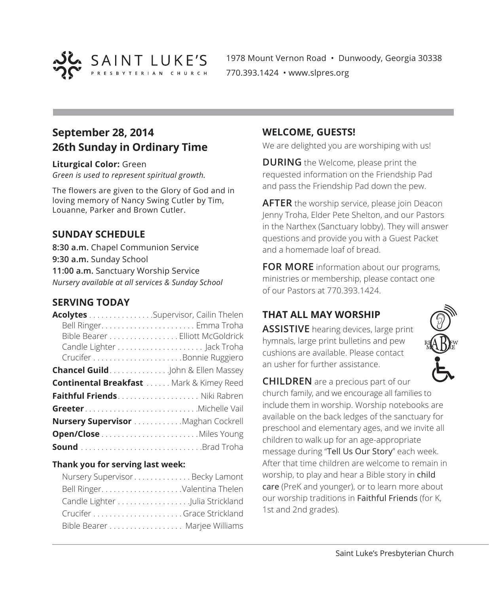

1978 Mount Vernon Road • Dunwoody, Georgia 30338 770.393.1424 • www.slpres.org

# **September 28, 2014 26th Sunday in Ordinary Time**

**Liturgical Color:** Green *Green is used to represent spiritual growth.* 

The flowers are given to the Glory of God and in loving memory of Nancy Swing Cutler by Tim, Louanne, Parker and Brown Cutler.

# **SUNDAY SCHEDULE**

**8:30 a.m.** Chapel Communion Service **9:30 a.m.** Sunday School **11:00 a.m.** Sanctuary Worship Service *Nursery available at all services & Sunday School*

# **SERVING TODAY**

| Acolytes Supervisor, Cailin Thelen                  |                                 |
|-----------------------------------------------------|---------------------------------|
|                                                     |                                 |
|                                                     | Bible Bearer Elliott McGoldrick |
|                                                     |                                 |
|                                                     |                                 |
| <b>Chancel Guild</b> John & Ellen Massey            |                                 |
| <b>Continental Breakfast  Mark &amp; Kimey Reed</b> |                                 |
|                                                     |                                 |
| GreeterMichelle Vail                                |                                 |
| Nursery Supervisor Maghan Cockrell                  |                                 |
|                                                     |                                 |
| <b>Sound</b> Brad Troha                             |                                 |

#### **Thank you for serving last week:**

| Nursery SupervisorBecky Lamont |  |
|--------------------------------|--|
|                                |  |
|                                |  |
|                                |  |
| Bible Bearer Marjee Williams   |  |

### **WELCOME, GUESTS!**

We are delighted you are worshiping with us!

**DURING** the Welcome, please print the requested information on the Friendship Pad and pass the Friendship Pad down the pew.

**AFTER** the worship service, please join Deacon Jenny Troha, Elder Pete Shelton, and our Pastors in the Narthex (Sanctuary lobby). They will answer questions and provide you with a Guest Packet and a homemade loaf of bread.

**FOR MORE** information about our programs, ministries or membership, please contact one of our Pastors at 770.393.1424.

# **THAT ALL MAY WORSHIP**

**ASSISTIVE** hearing devices, large print hymnals, large print bulletins and pew cushions are available. Please contact an usher for further assistance.



**CHILDREN** are a precious part of our church family, and we encourage all families to include them in worship. Worship notebooks are available on the back ledges of the sanctuary for preschool and elementary ages, and we invite all children to walk up for an age-appropriate message during "Tell Us Our Story" each week. After that time children are welcome to remain in worship, to play and hear a Bible story in child care (PreK and younger), or to learn more about our worship traditions in Faithful Friends (for K, 1st and 2nd grades).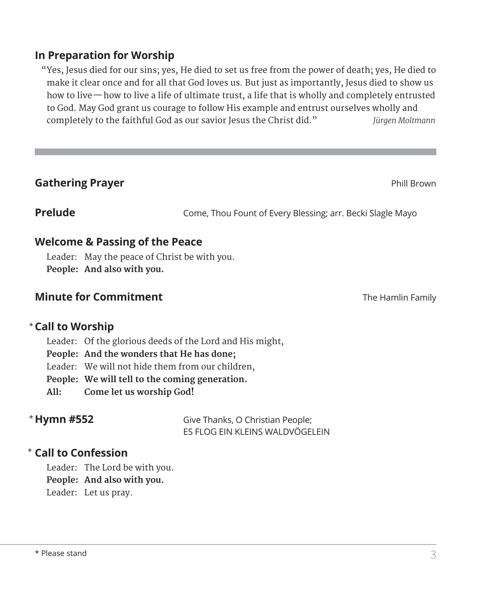# **In Preparation for Worship**

 "Yes, Jesus died for our sins; yes, He died to set us free from the power of death; yes, He died to make it clear once and for all that God loves us. But just as importantly, Jesus died to show us how to live—how to live a life of ultimate trust, a life that is wholly and completely entrusted to God. May God grant us courage to follow His example and entrust ourselves wholly and completely to the faithful God as our savior Jesus the Christ did." *Jürgen Moltmann*

# **Gathering Prayer Contract Contract Contract Contract Contract Contract Contract Contract Contract Contract Contract Contract Contract Contract Contract Contract Contract Contract Contract Contract Contract Contract Cont**

**Prelude** Come, Thou Fount of Every Blessing; arr. Becki Slagle Mayo

# **Welcome & Passing of the Peace**

Leader: May the peace of Christ be with you. **People: And also with you.**

# **Minute for Commitment** The Hamlin Family **The Hamlin Family**

## **Call to Worship**  \*

Leader: Of the glorious deeds of the Lord and His might,

**People: And the wonders that He has done;**

Leader: We will not hide them from our children,

**People: We will tell to the coming generation.**

**All: Come let us worship God!**

# \* Hymn #552

Give Thanks, O Christian People; ES FLOG EIN KLEINS WALDVÖGELEIN

# **Call to Confession**  \*

Leader: The Lord be with you.

**People: And also with you.**

Leader: Let us pray.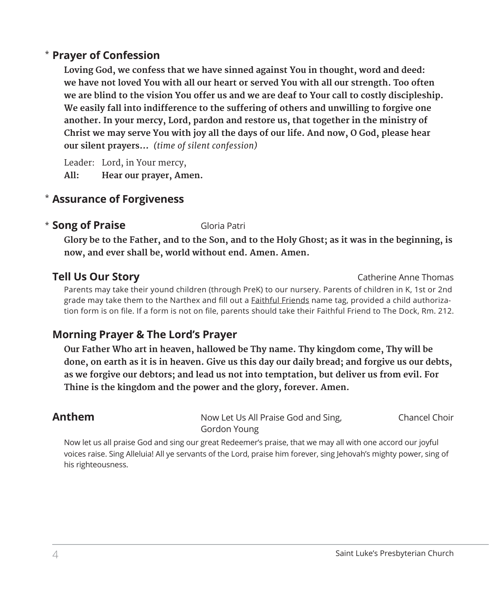# **Prayer of Confession**  \*

 **Loving God, we confess that we have sinned against You in thought, word and deed: we have not loved You with all our heart or served You with all our strength. Too often we are blind to the vision You offer us and we are deaf to Your call to costly discipleship. We easily fall into indifference to the suffering of others and unwilling to forgive one another. In your mercy, Lord, pardon and restore us, that together in the ministry of Christ we may serve You with joy all the days of our life. And now, O God, please hear our silent prayers...** *(time of silent confession)*

Leader: Lord, in Your mercy, **All: Hear our prayer, Amen.**

# **Assurance of Forgiveness** \*

## **Example 2 Song of Praise** Gloria Patri

 **Glory be to the Father, and to the Son, and to the Holy Ghost; as it was in the beginning, is now, and ever shall be, world without end. Amen. Amen.**

**Tell Us Our Story Catherine Anne Thomas** 

 Parents may take their yound children (through PreK) to our nursery. Parents of children in K, 1st or 2nd grade may take them to the Narthex and fill out a Faithful Friends name tag, provided a child authorization form is on file. If a form is not on file, parents should take their Faithful Friend to The Dock, Rm. 212.

# **Morning Prayer & The Lord's Prayer**

 **Our Father Who art in heaven, hallowed be Thy name. Thy kingdom come, Thy will be done, on earth as it is in heaven. Give us this day our daily bread; and forgive us our debts, as we forgive our debtors; and lead us not into temptation, but deliver us from evil. For Thine is the kingdom and the power and the glory, forever. Amen.**

| Anthem | Now Let Us All Praise God and Sing, | Chancel Choir |
|--------|-------------------------------------|---------------|
|        | Gordon Young                        |               |

 Now let us all praise God and sing our great Redeemer's praise, that we may all with one accord our joyful voices raise. Sing Alleluia! All ye servants of the Lord, praise him forever, sing Jehovah's mighty power, sing of his righteousness.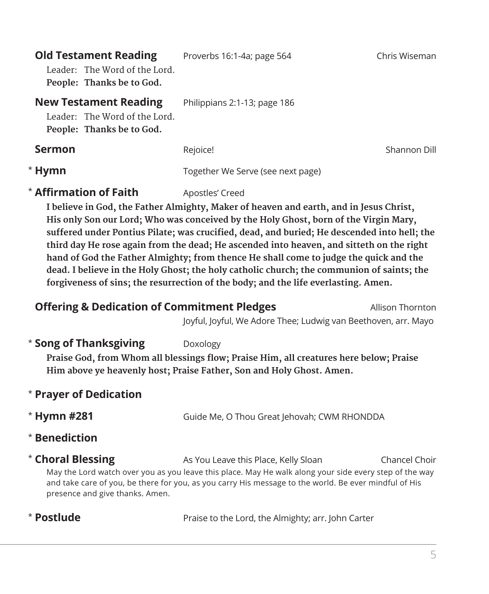| <b>Old Testament Reading</b><br>Leader: The Word of the Lord.<br>People: Thanks be to God. | Proverbs 16:1-4a; page 564        | Chris Wiseman |
|--------------------------------------------------------------------------------------------|-----------------------------------|---------------|
| <b>New Testament Reading</b><br>Leader: The Word of the Lord.<br>People: Thanks be to God. | Philippians 2:1-13; page 186      |               |
| <b>Sermon</b>                                                                              | Rejoice!                          | Shannon Dill  |
| * Hymn                                                                                     | Together We Serve (see next page) |               |

# **\* Affirmation of Faith** Apostles' Creed

 **I believe in God, the Father Almighty, Maker of heaven and earth, and in Jesus Christ, His only Son our Lord; Who was conceived by the Holy Ghost, born of the Virgin Mary, suffered under Pontius Pilate; was crucified, dead, and buried; He descended into hell; the third day He rose again from the dead; He ascended into heaven, and sitteth on the right hand of God the Father Almighty; from thence He shall come to judge the quick and the dead. I believe in the Holy Ghost; the holy catholic church; the communion of saints; the forgiveness of sins; the resurrection of the body; and the life everlasting. Amen.**

| <b>Offering &amp; Dedication of Commitment Pledges</b> |                                                                | Allison Thornton |
|--------------------------------------------------------|----------------------------------------------------------------|------------------|
|                                                        | Joyful, Joyful, We Adore Thee: Ludwig van Beethoven, arr. Mayo |                  |

## **\* Song of Thanksgiving** Doxology

**Praise God, from Whom all blessings flow; Praise Him, all creatures here below; Praise Him above ye heavenly host; Praise Father, Son and Holy Ghost. Amen.**

# \* **Prayer of Dedication**

\* Hymn #281

Guide Me, O Thou Great Jehovah; CWM RHONDDA

- \* **Benediction**
- \* Choral Blessing As You Leave this Place, Kelly Sloan **Chancel Choir**  May the Lord watch over you as you leave this place. May He walk along your side every step of the way and take care of you, be there for you, as you carry His message to the world. Be ever mindful of His presence and give thanks. Amen.

# \* Postlude

Praise to the Lord, the Almighty; arr. John Carter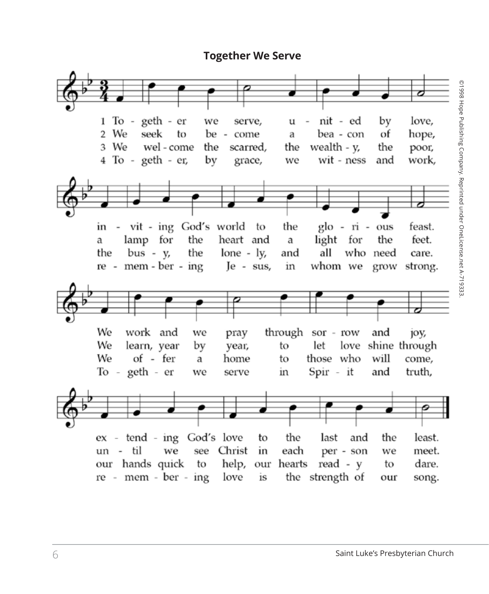## **Together We Serve**

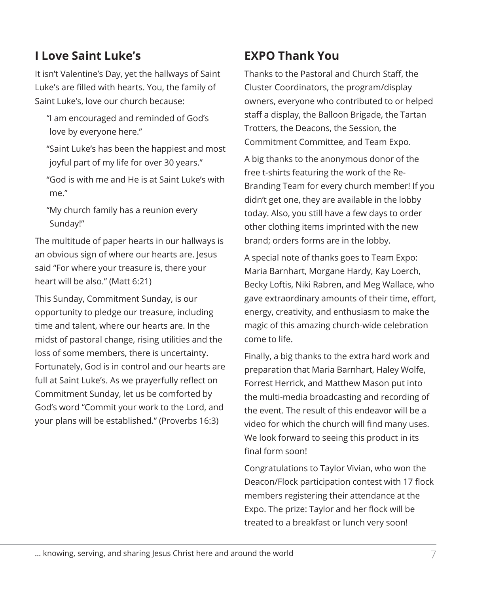# **I Love Saint Luke's**

It isn't Valentine's Day, yet the hallways of Saint Luke's are filled with hearts. You, the family of Saint Luke's, love our church because:

- "I am encouraged and reminded of God's love by everyone here."
- "Saint Luke's has been the happiest and most joyful part of my life for over 30 years."
- "God is with me and He is at Saint Luke's with me."
- "My church family has a reunion every Sunday!"

The multitude of paper hearts in our hallways is an obvious sign of where our hearts are. Jesus said "For where your treasure is, there your heart will be also." (Matt 6:21)

This Sunday, Commitment Sunday, is our opportunity to pledge our treasure, including time and talent, where our hearts are. In the midst of pastoral change, rising utilities and the loss of some members, there is uncertainty. Fortunately, God is in control and our hearts are full at Saint Luke's. As we prayerfully reflect on Commitment Sunday, let us be comforted by God's word "Commit your work to the Lord, and your plans will be established." (Proverbs 16:3)

# **EXPO Thank You**

Thanks to the Pastoral and Church Staff, the Cluster Coordinators, the program/display owners, everyone who contributed to or helped staff a display, the Balloon Brigade, the Tartan Trotters, the Deacons, the Session, the Commitment Committee, and Team Expo.

A big thanks to the anonymous donor of the free t-shirts featuring the work of the Re-Branding Team for every church member! If you didn't get one, they are available in the lobby today. Also, you still have a few days to order other clothing items imprinted with the new brand; orders forms are in the lobby.

A special note of thanks goes to Team Expo: Maria Barnhart, Morgane Hardy, Kay Loerch, Becky Loftis, Niki Rabren, and Meg Wallace, who gave extraordinary amounts of their time, effort, energy, creativity, and enthusiasm to make the magic of this amazing church-wide celebration come to life.

Finally, a big thanks to the extra hard work and preparation that Maria Barnhart, Haley Wolfe, Forrest Herrick, and Matthew Mason put into the multi-media broadcasting and recording of the event. The result of this endeavor will be a video for which the church will find many uses. We look forward to seeing this product in its final form soon!

Congratulations to Taylor Vivian, who won the Deacon/Flock participation contest with 17 flock members registering their attendance at the Expo. The prize: Taylor and her flock will be treated to a breakfast or lunch very soon!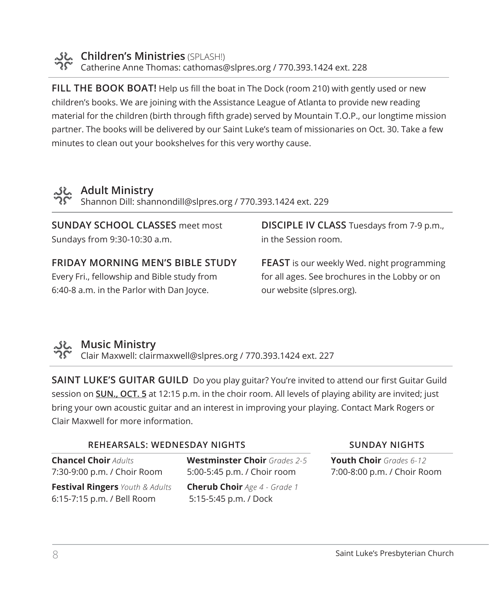

**ملاي** Children's Ministries (SPLASH!) Catherine Anne Thomas: cathomas@slpres.org / 770.393.1424 ext. 228

**FILL THE BOOK BOAT!** Help us fill the boat in The Dock (room 210) with gently used or new children's books. We are joining with the Assistance League of Atlanta to provide new reading material for the children (birth through fifth grade) served by Mountain T.O.P., our longtime mission partner. The books will be delivered by our Saint Luke's team of missionaries on Oct. 30. Take a few minutes to clean out your bookshelves for this very worthy cause.



# **Adult Ministry**

Shannon Dill: shannondill@slpres.org / 770.393.1424 ext. 229

**SUNDAY SCHOOL CLASSES** meet most Sundays from 9:30-10:30 a.m.

# **FRIDAY MORNING MEN'S BIBLE STUDY**

Every Fri., fellowship and Bible study from 6:40-8 a.m. in the Parlor with Dan Joyce.

**DISCIPLE IV CLASS** Tuesdays from 7-9 p.m., in the Session room.

**FEAST** is our weekly Wed. night programming for all ages. See brochures in the Lobby or on our website (slpres.org).



# **Music Ministry**

Clair Maxwell: clairmaxwell@slpres.org / 770.393.1424 ext. 227

**SAINT LUKE'S GUITAR GUILD** Do you play guitar? You're invited to attend our first Guitar Guild session on **SUN., OCT. 5** at 12:15 p.m. in the choir room. All levels of playing ability are invited; just bring your own acoustic guitar and an interest in improving your playing. Contact Mark Rogers or Clair Maxwell for more information.

#### **REHEARSALS: WEDNESDAY NIGHTS SUNDAY NIGHTS**

**Chancel Choir** *Adults* 7:30-9:00 p.m. / Choir Room **Festival Ringers** *Youth & Adults*  6:15-7:15 p.m. / Bell Room

**Westminster Choir** *Grades 2-5* 5:00-5:45 p.m. / Choir room **Cherub Choir** *Age 4 - Grade 1* 5:15-5:45 p.m. / Dock

**Youth Choir** *Grades 6-12* 7:00-8:00 p.m. / Choir Room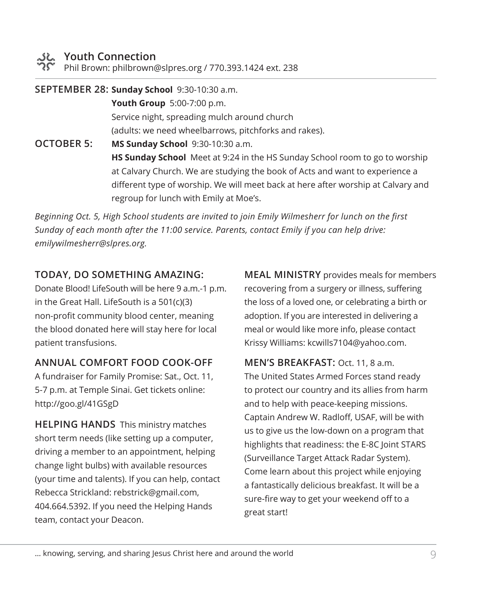Phil Brown: philbrown@slpres.org / 770.393.1424 ext. 238

**SEPTEMBER 28: Sunday School** 9:30-10:30 a.m. **Youth Group** 5:00-7:00 p.m. Service night, spreading mulch around church (adults: we need wheelbarrows, pitchforks and rakes). **OCTOBER 5: MS Sunday School** 9:30-10:30 a.m. **HS Sunday School** Meet at 9:24 in the HS Sunday School room to go to worship at Calvary Church. We are studying the book of Acts and want to experience a different type of worship. We will meet back at here after worship at Calvary and

regroup for lunch with Emily at Moe's.

*Beginning Oct. 5, High School students are invited to join Emily Wilmesherr for lunch on the first Sunday of each month after the 11:00 service. Parents, contact Emily if you can help drive: emilywilmesherr@slpres.org.*

# **TODAY, DO SOMETHING AMAZING:**

Donate Blood! LifeSouth will be here 9 a.m.-1 p.m. in the Great Hall. LifeSouth is a 501(c)(3) non-profit community blood center, meaning the blood donated here will stay here for local patient transfusions.

# **ANNUAL COMFORT FOOD COOK-OFF**

A fundraiser for Family Promise: Sat., Oct. 11, 5-7 p.m. at Temple Sinai. Get tickets online: http://goo.gl/41GSgD

**HELPING HANDS** This ministry matches short term needs (like setting up a computer, driving a member to an appointment, helping change light bulbs) with available resources (your time and talents). If you can help, contact Rebecca Strickland: rebstrick@gmail.com, 404.664.5392. If you need the Helping Hands team, contact your Deacon.

**MEAL MINISTRY** provides meals for members recovering from a surgery or illness, suffering the loss of a loved one, or celebrating a birth or adoption. If you are interested in delivering a meal or would like more info, please contact Krissy Williams: kcwills7104@yahoo.com.

**MEN'S BREAKFAST:** Oct. 11, 8 a.m. The United States Armed Forces stand ready to protect our country and its allies from harm and to help with peace-keeping missions. Captain Andrew W. Radloff, USAF, will be with us to give us the low-down on a program that highlights that readiness: the E-8C Joint STARS (Surveillance Target Attack Radar System). Come learn about this project while enjoying a fantastically delicious breakfast. It will be a sure-fire way to get your weekend off to a great start!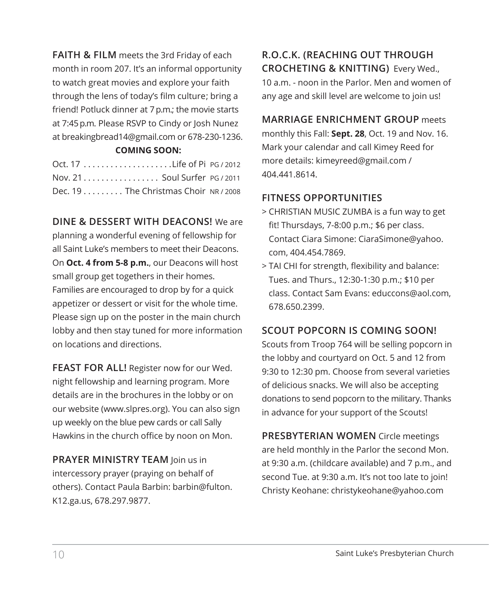**FAITH & FILM** meets the 3rd Friday of each month in room 207. It's an informal opportunity to watch great movies and explore your faith through the lens of today's film culture; bring a friend! Potluck dinner at 7 p.m.; the movie starts at 7:45 p.m. Please RSVP to Cindy or Josh Nunez at breakingbread14@gmail.com or 678-230-1236.

#### **COMING SOON:**

| Nov. 21. Soul Surfer PG / 2011        |  |
|---------------------------------------|--|
| Dec. $19$ The Christmas Choir NR/2008 |  |

### **DINE & DESSERT WITH DEACONS!** We are

planning a wonderful evening of fellowship for all Saint Luke's members to meet their Deacons. On **Oct. 4 from 5-8 p.m.**, our Deacons will host small group get togethers in their homes. Families are encouraged to drop by for a quick appetizer or dessert or visit for the whole time. Please sign up on the poster in the main church lobby and then stay tuned for more information on locations and directions.

**FEAST FOR ALL!** Register now for our Wed. night fellowship and learning program. More details are in the brochures in the lobby or on our website (www.slpres.org). You can also sign up weekly on the blue pew cards or call Sally Hawkins in the church office by noon on Mon.

**PRAYER MINISTRY TEAM** Join us in intercessory prayer (praying on behalf of others). Contact Paula Barbin: barbin@fulton. K12.ga.us, 678.297.9877.

# **R.O.C.K. (REACHING OUT THROUGH CROCHETING & KNITTING)** Every Wed., 10 a.m. - noon in the Parlor. Men and women of any age and skill level are welcome to join us!

### **MARRIAGE ENRICHMENT GROUP** meets

monthly this Fall: **Sept. 28**, Oct. 19 and Nov. 16. Mark your calendar and call Kimey Reed for more details: kimeyreed@gmail.com / 404.441.8614.

### **FITNESS OPPORTUNITIES**

- > CHRISTIAN MUSIC ZUMBA is a fun way to get fit! Thursdays, 7-8:00 p.m.; \$6 per class. Contact Ciara Simone: CiaraSimone@yahoo. com, 404.454.7869.
- > TAI CHI for strength, flexibility and balance: Tues. and Thurs., 12:30-1:30 p.m.; \$10 per class. Contact Sam Evans: educcons@aol.com, 678.650.2399.

## **SCOUT POPCORN IS COMING SOON!**

Scouts from Troop 764 will be selling popcorn in the lobby and courtyard on Oct. 5 and 12 from 9:30 to 12:30 pm. Choose from several varieties of delicious snacks. We will also be accepting donations to send popcorn to the military. Thanks in advance for your support of the Scouts!

**PRESBYTERIAN WOMEN** Circle meetings are held monthly in the Parlor the second Mon. at 9:30 a.m. (childcare available) and 7 p.m., and second Tue. at 9:30 a.m. It's not too late to join! Christy Keohane: christykeohane@yahoo.com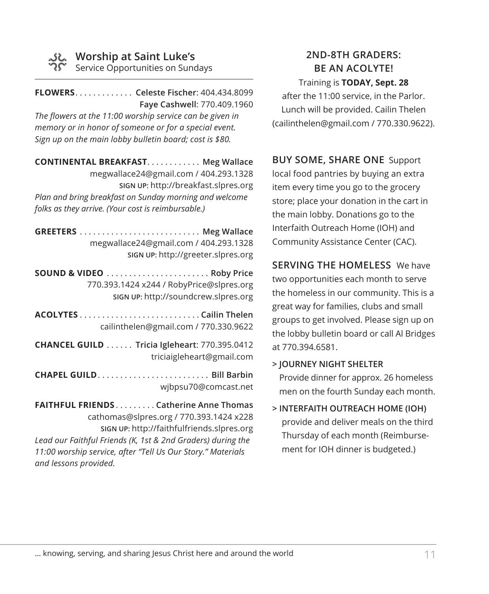

# **Worship at Saint Luke's**

Service Opportunities on Sundays

**FLOWERS**. . **Celeste Fischer**: 404.434.8099 **Faye Cashwell**: 770.409.1960 *The flowers at the 11:00 worship service can be given in memory or in honor of someone or for a special event. Sign up on the main lobby bulletin board; cost is \$80.* 

**CONTINENTAL BREAKFAST. . . . . . . . . . . . Meg Wallace** megwallace24@gmail.com / 404.293.1328 **SIGN UP:** http://breakfast.slpres.org *Plan and bring breakfast on Sunday morning and welcome folks as they arrive. (Your cost is reimbursable.)* 

**GREETERS**. . **Meg Wallace** megwallace24@gmail.com / 404.293.1328 **SIGN UP:** http://greeter.slpres.org **SOUND & VIDEO**. . **Roby Price** 770.393.1424 x244 / RobyPrice@slpres.org **SIGN UP:** http://soundcrew.slpres.org **ACOLYTES**. **Cailin Thelen** cailinthelen@gmail.com / 770.330.9622 **CHANCEL GUILD**. . **Tricia Igleheart**: 770.395.0412 triciaigleheart@gmail.com **CHAPEL GUILD............................ Bill Barbin** wjbpsu70@comcast.net **FAITHFUL FRIENDS**. **Catherine Anne Thomas** cathomas@slpres.org / 770.393.1424 x228 **SIGN UP:** http://faithfulfriends.slpres.org *Lead our Faithful Friends (K, 1st & 2nd Graders) during the* 

*11:00 worship service, after "Tell Us Our Story." Materials and lessons provided.* 

# **2ND-8TH GRADERS: BE AN ACOLYTE!**

Training is **TODAY, Sept. 28**  after the 11:00 service, in the Parlor. Lunch will be provided. Cailin Thelen (cailinthelen@gmail.com / 770.330.9622).

**BUY SOME, SHARE ONE** Support local food pantries by buying an extra item every time you go to the grocery store; place your donation in the cart in the main lobby. Donations go to the Interfaith Outreach Home (IOH) and Community Assistance Center (CAC).

**SERVING THE HOMELESS** We have two opportunities each month to serve the homeless in our community. This is a great way for families, clubs and small groups to get involved. Please sign up on the lobby bulletin board or call Al Bridges at 770.394.6581.

- **> JOURNEY NIGHT SHELTER** Provide dinner for approx. 26 homeless men on the fourth Sunday each month.
- **> INTERFAITH OUTREACH HOME (IOH)**  provide and deliver meals on the third Thursday of each month (Reimbursement for IOH dinner is budgeted.)